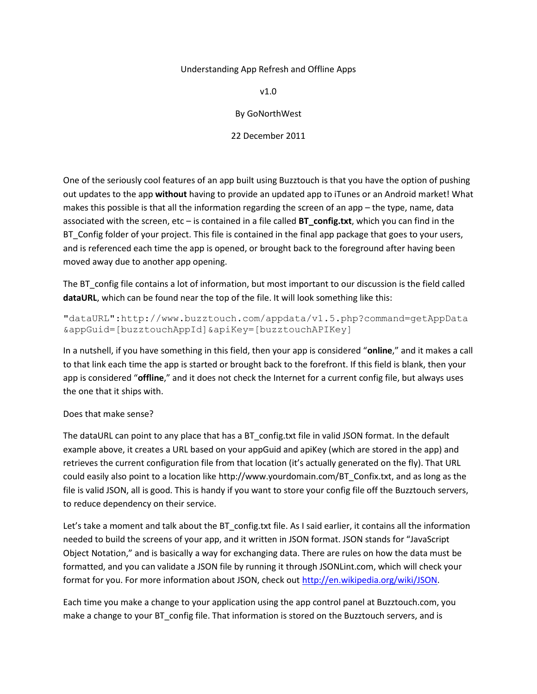# Understanding App Refresh and Offline Apps

v1.0

By GoNorthWest

22 December 2011

One of the seriously cool features of an app built using Buzztouch is that you have the option of pushing out updates to the app **without** having to provide an updated app to iTunes or an Android market! What makes this possible is that all the information regarding the screen of an app – the type, name, data associated with the screen, etc – is contained in a file called **BT\_config.txt**, which you can find in the BT\_Config folder of your project. This file is contained in the final app package that goes to your users, and is referenced each time the app is opened, or brought back to the foreground after having been moved away due to another app opening.

The BT\_config file contains a lot of information, but most important to our discussion is the field called **dataURL**, which can be found near the top of the file. It will look something like this:

"dataURL":http://www.buzztouch.com/appdata/v1.5.php?command=getAppData &appGuid=[buzztouchAppId]&apiKey=[buzztouchAPIKey]

In a nutshell, if you have something in this field, then your app is considered "**online**," and it makes a call to that link each time the app is started or brought back to the forefront. If this field is blank, then your app is considered "**offline**," and it does not check the Internet for a current config file, but always uses the one that it ships with.

# Does that make sense?

The dataURL can point to any place that has a BT\_config.txt file in valid JSON format. In the default example above, it creates a URL based on your appGuid and apiKey (which are stored in the app) and retrieves the current configuration file from that location (it's actually generated on the fly). That URL could easily also point to a location like http://www.yourdomain.com/BT\_Confix.txt, and as long as the file is valid JSON, all is good. This is handy if you want to store your config file off the Buzztouch servers, to reduce dependency on their service.

Let's take a moment and talk about the BT\_config.txt file. As I said earlier, it contains all the information needed to build the screens of your app, and it written in JSON format. JSON stands for "JavaScript Object Notation," and is basically a way for exchanging data. There are rules on how the data must be formatted, and you can validate a JSON file by running it through JSONLint.com, which will check your format for you. For more information about JSON, check out [http://en.wikipedia.org/wiki/JSON.](http://en.wikipedia.org/wiki/JSON)

Each time you make a change to your application using the app control panel at Buzztouch.com, you make a change to your BT\_config file. That information is stored on the Buzztouch servers, and is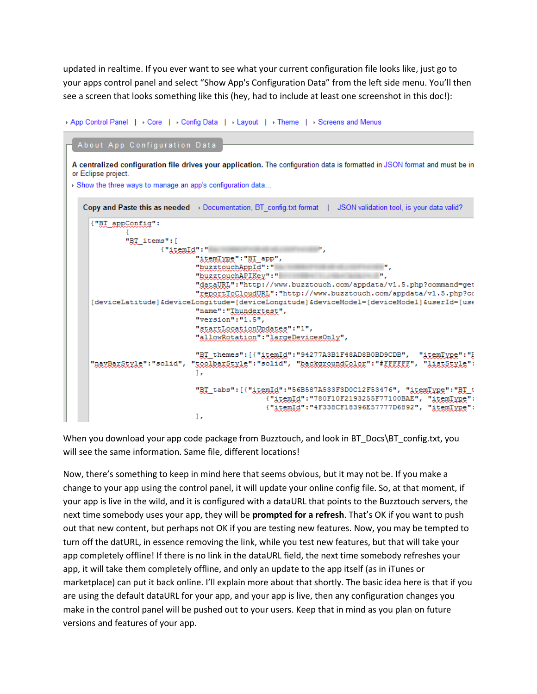updated in realtime. If you ever want to see what your current configuration file looks like, just go to your apps control panel and select "Show App's Configuration Data" from the left side menu. You'll then see a screen that looks something like this (hey, had to include at least one screenshot in this doc!):

```
App Control Panel | + Core | + Config Data | + Layout | + Theme | + Screens and Menus
```

```
About App Configuration Data
```
A centralized configuration file drives your application. The configuration data is formatted in JSON format and must be in or Eclipse project.

Show the three ways to manage an app's configuration data... Copy and Paste this as needed > Documentation, BT\_config.txt format | JSON validation tool, is your data valid? ("BI appConfig": "BT items": [ {"itemId":" "itemType": "BT app",  $\blacksquare$ "buzztouchAppId":" "buzztouchAPIKey":" "dataURL": "http://www.buzztouch.com/appdata/v1.5.php?command=get "reportToCloudURL": "http://www.buzztouch.com/appdata/v1.5.php?co [deviceLatitude]&deviceLongitude=[deviceLongitude]&deviceModel=[deviceModel]&userId=[use "name": "Ihundertest", "version":"1.5", "startLocationUpdates": "1", "allowRotation": "largeDevicesOnly", "BI themes": [{"itemId": "94277A3B1F48AD8B0BD9CDB", "itemType": "! "navBarStvle":"solid", "toolbarStvle":"solid", "backgroundColor":"#EFEEEE", "listStvle": 1, "BI\_tabs": [{"itemId": "56B587A533F3D0C12F53476", "itemIype": "BI\_t {"itemId":"780F10F2193255F77100BAE", "itemType": {"itemId":"4F338CF18396E57777D6892", "itemType":  $\mathbf{1}$ ,

When you download your app code package from Buzztouch, and look in BT\_Docs\BT\_config.txt, you will see the same information. Same file, different locations!

Now, there's something to keep in mind here that seems obvious, but it may not be. If you make a change to your app using the control panel, it will update your online config file. So, at that moment, if your app is live in the wild, and it is configured with a dataURL that points to the Buzztouch servers, the next time somebody uses your app, they will be **prompted for a refresh**. That's OK if you want to push out that new content, but perhaps not OK if you are testing new features. Now, you may be tempted to turn off the datURL, in essence removing the link, while you test new features, but that will take your app completely offline! If there is no link in the dataURL field, the next time somebody refreshes your app, it will take them completely offline, and only an update to the app itself (as in iTunes or marketplace) can put it back online. I'll explain more about that shortly. The basic idea here is that if you are using the default dataURL for your app, and your app is live, then any configuration changes you make in the control panel will be pushed out to your users. Keep that in mind as you plan on future versions and features of your app.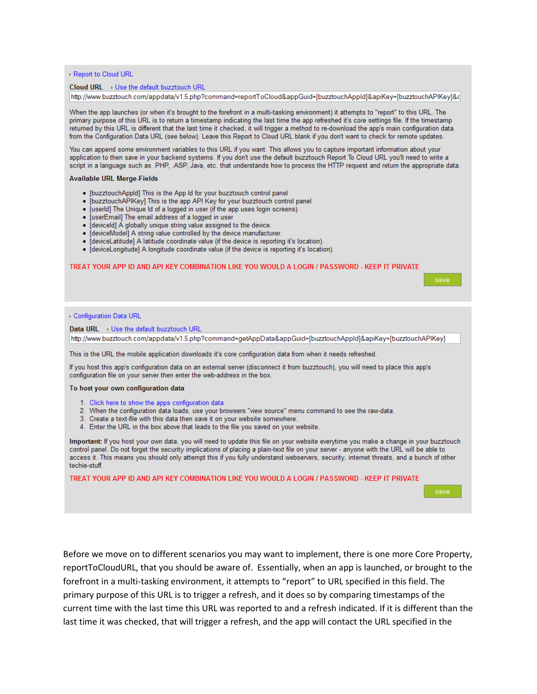▶ Report to Cloud URL

#### Cloud URL > Use the default buzztouch URL

http://www.buzztouch.com/appdata/v1.5.php?command=reportToCloud&appGuid=[buzztouchAppld]&apiKey=[buzztouchAPlKey]&c

When the app launches (or when it's brought to the forefront in a multi-tasking environment) it attempts to "report" to this URL. The primary purpose of this URL is to return a timestamp indicating the last time the app refreshed it's core settings file. If the timestamp returned by this URL is different that the last time it checked, it will trigger a method to re-download the app's main configuration data from the Configuration Data URL (see below). Leave this Report to Cloud URL blank if you don't want to check for remote updates.

You can append some environment variables to this URL if you want. This allows you to capture important information about your application to then save in your backend systems. If you don't use the default buzztouch Report To Cloud URL you'll need to write a script in a language such as .PHP, .ASP, Java, etc. that understands how to process the HTTP request and return the appropriate data.

### **Available URL Merge-Fields**

- [buzztouchAppld] This is the App Id for your buzztouch control panel
- . [buzztouchAPIKey] This is the app API Key for your buzztouch control panel
- . [userId] The Unique Id of a logged in user (if the app uses login screens)
- . [userEmail] The email address of a logged in user
- · [deviceld] A globally unique string value assigned to the device.
- · [deviceModel] A string value controlled by the device manufacturer.
- · [deviceLatitude] A latitude coordinate value (if the device is reporting it's location).
- · [deviceLongitude] A longitude coordinate value (if the device is reporting it's location).

### TREAT YOUR APP ID AND API KEY COMBINATION LIKE YOU WOULD A LOGIN / PASSWORD - KEEP IT PRIVATE

| save                                                                                                                                                                                                                                                                                                                                                                                                                                          |  |  |  |
|-----------------------------------------------------------------------------------------------------------------------------------------------------------------------------------------------------------------------------------------------------------------------------------------------------------------------------------------------------------------------------------------------------------------------------------------------|--|--|--|
|                                                                                                                                                                                                                                                                                                                                                                                                                                               |  |  |  |
|                                                                                                                                                                                                                                                                                                                                                                                                                                               |  |  |  |
| ▶ Configuration Data URL                                                                                                                                                                                                                                                                                                                                                                                                                      |  |  |  |
| Data URL $\rightarrow$ Use the default buzztouch URL                                                                                                                                                                                                                                                                                                                                                                                          |  |  |  |
| http://www.buzztouch.com/appdata/v1.5.php?command=getAppData&appGuid=[buzztouchAppId]&apiKey=[buzztouchAPIKey]                                                                                                                                                                                                                                                                                                                                |  |  |  |
| This is the URL the mobile application downloads it's core configuration data from when it needs refreshed.                                                                                                                                                                                                                                                                                                                                   |  |  |  |
| If you host this app's configuration data on an external server (disconnect it from buzztouch), you will need to place this app's<br>configuration file on your server then enter the web-address in the box.                                                                                                                                                                                                                                 |  |  |  |
| To host your own configuration data                                                                                                                                                                                                                                                                                                                                                                                                           |  |  |  |
| 1. Click here to show the apps configuration data.<br>2. When the configuration data loads, use your browsers "view source" menu command to see the raw-data.<br>3. Create a text-file with this data then save it on your website somewhere.<br>4. Enter the URL in the box above that leads to the file you saved on your website.                                                                                                          |  |  |  |
| Important: If you host your own data, you will need to update this file on your website everytime you make a change in your buzztouch<br>control panel. Do not forget the security implications of placing a plain-text file on your server - anyone with the URL will be able to<br>access it. This means you should only attempt this if you fully understand webservers, security, internet threats, and a bunch of other<br>techie-stuff. |  |  |  |
| TREAT YOUR APP ID AND API KEY COMBINATION LIKE YOU WOULD A LOGIN / PASSWORD - KEEP IT PRIVATE                                                                                                                                                                                                                                                                                                                                                 |  |  |  |

Before we move on to different scenarios you may want to implement, there is one more Core Property, reportToCloudURL, that you should be aware of. Essentially, when an app is launched, or brought to the forefront in a multi-tasking environment, it attempts to "report" to URL specified in this field. The primary purpose of this URL is to trigger a refresh, and it does so by comparing timestamps of the current time with the last time this URL was reported to and a refresh indicated. If it is different than the last time it was checked, that will trigger a refresh, and the app will contact the URL specified in the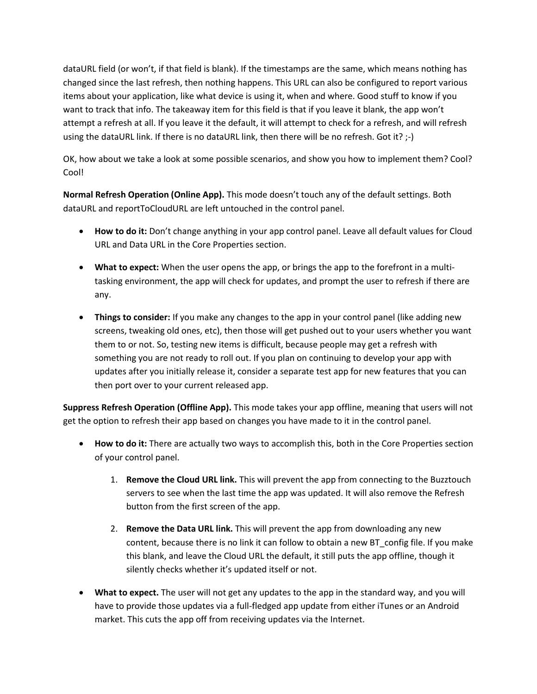dataURL field (or won't, if that field is blank). If the timestamps are the same, which means nothing has changed since the last refresh, then nothing happens. This URL can also be configured to report various items about your application, like what device is using it, when and where. Good stuff to know if you want to track that info. The takeaway item for this field is that if you leave it blank, the app won't attempt a refresh at all. If you leave it the default, it will attempt to check for a refresh, and will refresh using the dataURL link. If there is no dataURL link, then there will be no refresh. Got it? ;-)

OK, how about we take a look at some possible scenarios, and show you how to implement them? Cool? Cool!

**Normal Refresh Operation (Online App).** This mode doesn't touch any of the default settings. Both dataURL and reportToCloudURL are left untouched in the control panel.

- **How to do it:** Don't change anything in your app control panel. Leave all default values for Cloud URL and Data URL in the Core Properties section.
- **What to expect:** When the user opens the app, or brings the app to the forefront in a multitasking environment, the app will check for updates, and prompt the user to refresh if there are any.
- **Things to consider:** If you make any changes to the app in your control panel (like adding new screens, tweaking old ones, etc), then those will get pushed out to your users whether you want them to or not. So, testing new items is difficult, because people may get a refresh with something you are not ready to roll out. If you plan on continuing to develop your app with updates after you initially release it, consider a separate test app for new features that you can then port over to your current released app.

**Suppress Refresh Operation (Offline App).** This mode takes your app offline, meaning that users will not get the option to refresh their app based on changes you have made to it in the control panel.

- **How to do it:** There are actually two ways to accomplish this, both in the Core Properties section of your control panel.
	- 1. **Remove the Cloud URL link.** This will prevent the app from connecting to the Buzztouch servers to see when the last time the app was updated. It will also remove the Refresh button from the first screen of the app.
	- 2. **Remove the Data URL link.** This will prevent the app from downloading any new content, because there is no link it can follow to obtain a new BT\_config file. If you make this blank, and leave the Cloud URL the default, it still puts the app offline, though it silently checks whether it's updated itself or not.
- **What to expect.** The user will not get any updates to the app in the standard way, and you will have to provide those updates via a full-fledged app update from either iTunes or an Android market. This cuts the app off from receiving updates via the Internet.